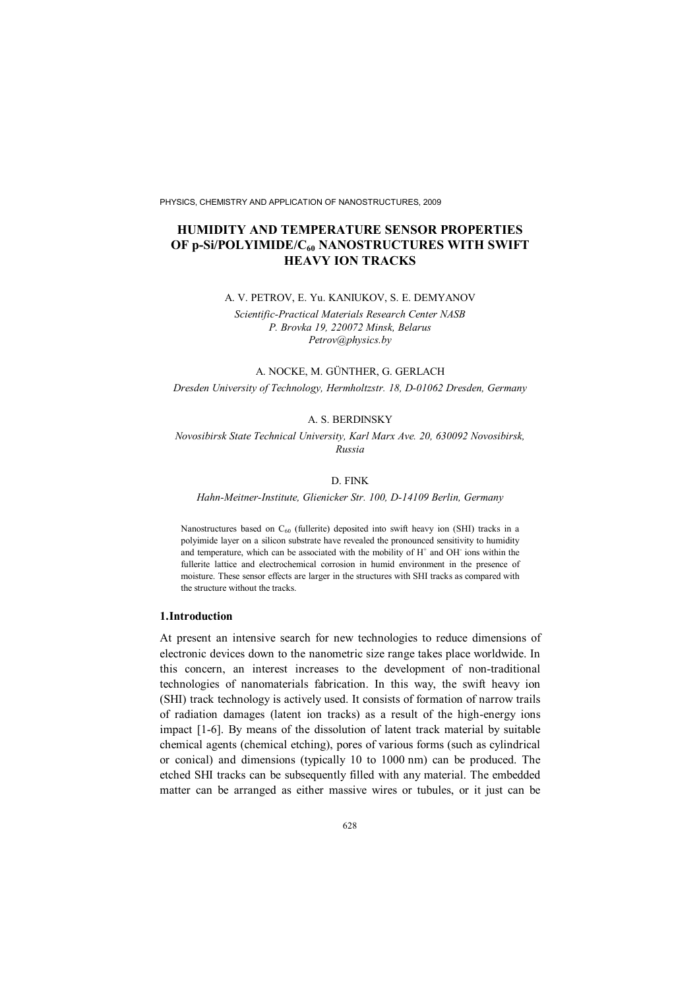PHYSICS, CHEMISTRY AND APPLICATION OF NANOSTRUCTURES, 2009

# **HUMIDITY AND TEMPERATURE SENSOR PROPERTIES OF p-Si/POLYIMIDE/C60 NANOSTRUCTURES WITH SWIFT HEAVY ION TRACKS**

#### A. V. PETROV, E. Yu. KANIUKOV, S. E. DEMYANOV

*Scientific-Practical Materials Research Center NASB P. Brovka 19, 220072 Minsk, Belarus Petrov*@*physics.by*

#### A. NOCKE, M. GÜNTHER, G. GERLACH

*Dresden University of Technology, Hermholtzstr. 18, D-01062 Dresden, Germany*

## A. S. BERDINSKY

*Novosibirsk State Technical University, Karl Marx Ave. 20, 630092 Novosibirsk, Russia*

# D. FINK

*Hahn-Meitner-Institute, Glienicker Str. 100, D-14109 Berlin, Germany*

Nanostructures based on  $C_{60}$  (fullerite) deposited into swift heavy ion (SHI) tracks in a polyimide layer on a silicon substrate have revealed the pronounced sensitivity to humidity and temperature, which can be associated with the mobility of  $H^+$  and OH $^-$  ions within the fullerite lattice and electrochemical corrosion in humid environment in the presence of moisture. These sensor effects are larger in the structures with SHI tracks as compared with the structure without the tracks.

### **1.Introduction**

At present an intensive search for new technologies to reduce dimensions of electronic devices down to the nanometric size range takes place worldwide. In this concern, an interest increases to the development of non-traditional technologies of nanomaterials fabrication. In this way, the swift heavy ion (SHI) track technology is actively used. It consists of formation of narrow trails of radiation damages (latent ion tracks) as a result of the high-energy ions impact [1-6]. By means of the dissolution of latent track material by suitable chemical agents (chemical etching), pores of various forms (such as cylindrical or conical) and dimensions (typically 10 to 1000 nm) can be produced. The etched SHI tracks can be subsequently filled with any material. The embedded matter can be arranged as either massive wires or tubules, or it just can be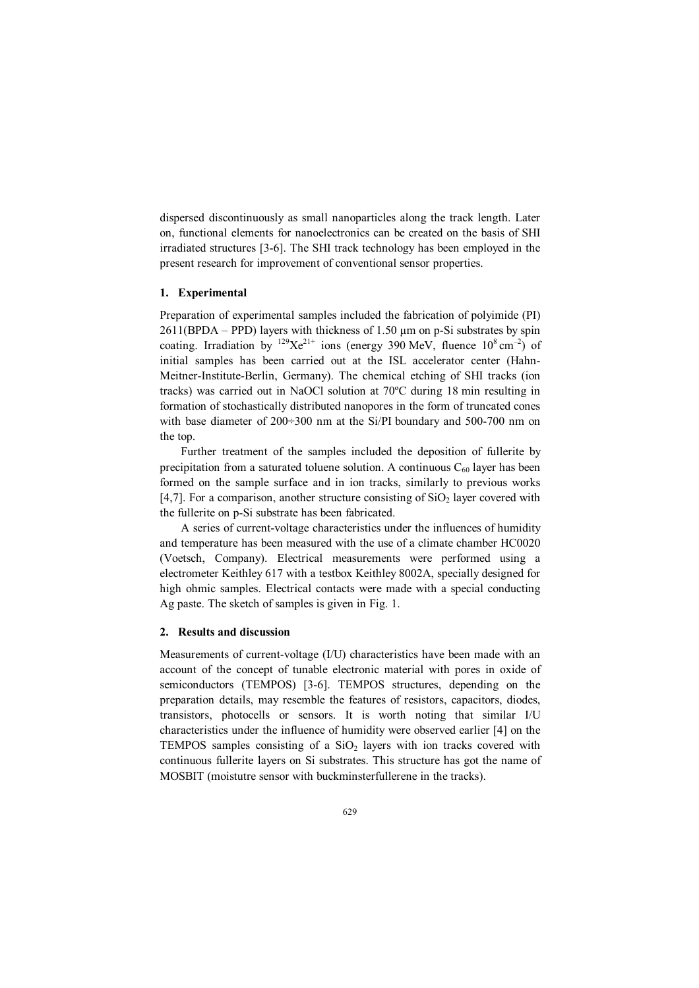dispersed discontinuously as small nanoparticles along the track length. Later on, functional elements for nanoelectronics can be created on the basis of SHI irradiated structures [3-6]. The SHI track technology has been employed in the present research for improvement of conventional sensor properties.

### **1. Experimental**

Preparation of experimental samples included the fabrication of polyimide (PI)  $2611(BPDA - PPD)$  layers with thickness of 1.50  $\mu$ m on p-Si substrates by spin coating. Irradiation by  $^{129}\text{X}e^{21+}$  ions (energy 390 MeV, fluence  $10^8 \text{ cm}^{-2}$ ) of initial samples has been carried out at the ISL accelerator center (Hahn-Meitner-Institute-Berlin, Germany). The chemical etching of SHI tracks (ion tracks) was carried out in NaOCl solution at 70ºC during 18 min resulting in formation of stochastically distributed nanopores in the form of truncated cones with base diameter of  $200\div 300$  nm at the Si/PI boundary and 500-700 nm on the top.

Further treatment of the samples included the deposition of fullerite by precipitation from a saturated toluene solution. A continuous  $C_{60}$  layer has been formed on the sample surface and in ion tracks, similarly to previous works [4,7]. For a comparison, another structure consisting of  $SiO<sub>2</sub>$  layer covered with the fullerite on p-Si substrate has been fabricated.

A series of current-voltage characteristics under the influences of humidity and temperature has been measured with the use of a climate chamber HC0020 (Voetsch, Company). Electrical measurements were performed using a electrometer Keithley 617 with a testbox Keithley 8002A, specially designed for high ohmic samples. Electrical contacts were made with a special conducting Ag paste. The sketch of samples is given in Fig. 1.

#### **2. Results and discussion**

Measurements of current-voltage (I/U) characteristics have been made with an account of the concept of tunable electronic material with pores in oxide of semiconductors (TEMPOS) [3-6]. TEMPOS structures, depending on the preparation details, may resemble the features of resistors, capacitors, diodes, transistors, photocells or sensors. It is worth noting that similar I/U characteristics under the influence of humidity were observed earlier [4] on the TEMPOS samples consisting of a  $SiO<sub>2</sub>$  layers with ion tracks covered with continuous fullerite layers on Si substrates. This structure has got the name of MOSBIT (moistutre sensor with buckminsterfullerene in the tracks).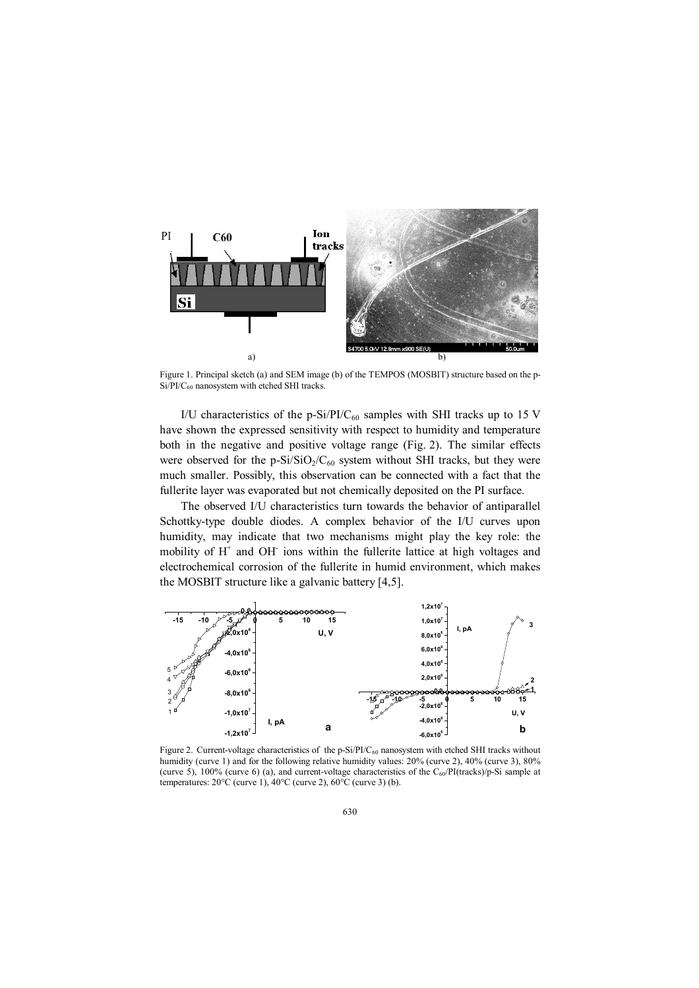

Figure 1. Principal sketch (a) and SEM image (b) of the TEMPOS (MOSBIT) structure based on the p-Si/PI/C<sub>60</sub> nanosystem with etched SHI tracks.

I/U characteristics of the p-Si/PI/C<sub>60</sub> samples with SHI tracks up to 15 V have shown the expressed sensitivity with respect to humidity and temperature both in the negative and positive voltage range (Fig. 2). The similar effects were observed for the  $p-Si/SiO_2/C_{60}$  system without SHI tracks, but they were much smaller. Possibly, this observation can be connected with a fact that the fullerite layer was evaporated but not chemically deposited on the PI surface.

The observed I/U characteristics turn towards the behavior of antiparallel Schottky-type double diodes. A complex behavior of the I/U curves upon humidity, may indicate that two mechanisms might play the key role: the mobility of  $H^+$  and OH ions within the fullerite lattice at high voltages and electrochemical corrosion of the fullerite in humid environment, which makes the MOSBIT structure like a galvanic battery [4,5].



Figure 2. Current-voltage characteristics of the p-Si/PI/C<sub>60</sub> nanosystem with etched SHI tracks without humidity (curve 1) and for the following relative humidity values: 20% (curve 2), 40% (curve 3), 80% (curve 5), 100% (curve 6) (a), and current-voltage characteristics of the  $C_{60}$ /PI(tracks)/p-Si sample at temperatures:  $20^{\circ}$ C (curve 1),  $40^{\circ}$ C (curve 2),  $60^{\circ}$ C (curve 3) (b).